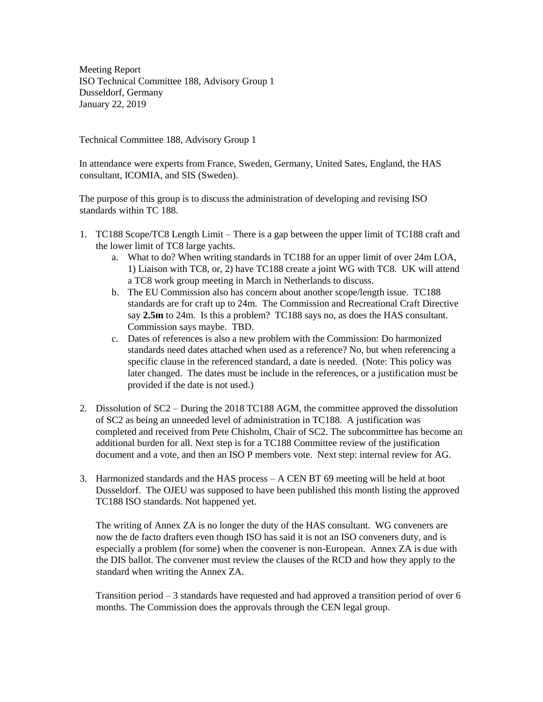Meeting Report ISO Technical Committee 188, Advisory Group 1 Dusseldorf, Germany January 22, 2019

Technical Committee 188, Advisory Group 1

In attendance were experts from France, Sweden, Germany, United Sates, England, the HAS consultant, ICOMIA, and SIS (Sweden).

The purpose of this group is to discuss the administration of developing and revising ISO standards within TC 188.

- 1. TC188 Scope/TC8 Length Limit There is a gap between the upper limit of TC188 craft and the lower limit of TC8 large yachts.
	- a. What to do? When writing standards in TC188 for an upper limit of over 24m LOA, 1) Liaison with TC8, or, 2) have TC188 create a joint WG with TC8. UK will attend a TC8 work group meeting in March in Netherlands to discuss.
	- b. The EU Commission also has concern about another scope/length issue. TC188 standards are for craft up to 24m. The Commission and Recreational Craft Directive say **2.5m** to 24m. Is this a problem? TC188 says no, as does the HAS consultant. Commission says maybe. TBD.
	- c. Dates of references is also a new problem with the Commission: Do harmonized standards need dates attached when used as a reference? No, but when referencing a specific clause in the referenced standard, a date is needed. (Note: This policy was later changed. The dates must be include in the references, or a justification must be provided if the date is not used.)
- 2. Dissolution of SC2 During the 2018 TC188 AGM, the committee approved the dissolution of SC2 as being an unneeded level of administration in TC188. A justification was completed and received from Pete Chisholm, Chair of SC2. The subcommittee has become an additional burden for all. Next step is for a TC188 Committee review of the justification document and a vote, and then an ISO P members vote. Next step: internal review for AG.
- 3. Harmonized standards and the HAS process  $A CEN BT 69$  meeting will be held at boot Dusseldorf. The OJEU was supposed to have been published this month listing the approved TC188 ISO standards. Not happened yet.

The writing of Annex ZA is no longer the duty of the HAS consultant. WG conveners are now the de facto drafters even though ISO has said it is not an ISO conveners duty, and is especially a problem (for some) when the convener is non-European. Annex ZA is due with the DIS ballot. The convener must review the clauses of the RCD and how they apply to the standard when writing the Annex ZA.

Transition period – 3 standards have requested and had approved a transition period of over 6 months. The Commission does the approvals through the CEN legal group.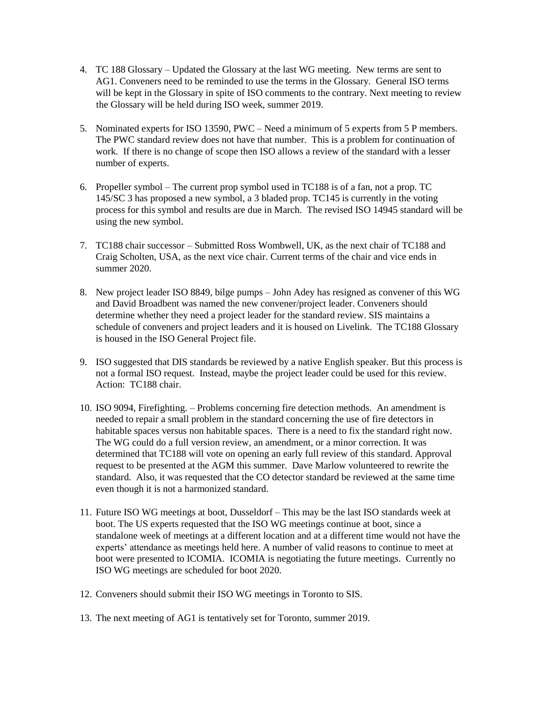- 4. TC 188 Glossary Updated the Glossary at the last WG meeting. New terms are sent to AG1. Conveners need to be reminded to use the terms in the Glossary. General ISO terms will be kept in the Glossary in spite of ISO comments to the contrary. Next meeting to review the Glossary will be held during ISO week, summer 2019.
- 5. Nominated experts for ISO 13590, PWC Need a minimum of 5 experts from 5 P members. The PWC standard review does not have that number. This is a problem for continuation of work. If there is no change of scope then ISO allows a review of the standard with a lesser number of experts.
- 6. Propeller symbol The current prop symbol used in TC188 is of a fan, not a prop. TC 145/SC 3 has proposed a new symbol, a 3 bladed prop. TC145 is currently in the voting process for this symbol and results are due in March. The revised ISO 14945 standard will be using the new symbol.
- 7. TC188 chair successor Submitted Ross Wombwell, UK, as the next chair of TC188 and Craig Scholten, USA, as the next vice chair. Current terms of the chair and vice ends in summer 2020.
- 8. New project leader ISO 8849, bilge pumps John Adey has resigned as convener of this WG and David Broadbent was named the new convener/project leader. Conveners should determine whether they need a project leader for the standard review. SIS maintains a schedule of conveners and project leaders and it is housed on Livelink. The TC188 Glossary is housed in the ISO General Project file.
- 9. ISO suggested that DIS standards be reviewed by a native English speaker. But this process is not a formal ISO request. Instead, maybe the project leader could be used for this review. Action: TC188 chair.
- 10. ISO 9094, Firefighting. Problems concerning fire detection methods. An amendment is needed to repair a small problem in the standard concerning the use of fire detectors in habitable spaces versus non habitable spaces. There is a need to fix the standard right now. The WG could do a full version review, an amendment, or a minor correction. It was determined that TC188 will vote on opening an early full review of this standard. Approval request to be presented at the AGM this summer. Dave Marlow volunteered to rewrite the standard. Also, it was requested that the CO detector standard be reviewed at the same time even though it is not a harmonized standard.
- 11. Future ISO WG meetings at boot, Dusseldorf This may be the last ISO standards week at boot. The US experts requested that the ISO WG meetings continue at boot, since a standalone week of meetings at a different location and at a different time would not have the experts' attendance as meetings held here. A number of valid reasons to continue to meet at boot were presented to ICOMIA. ICOMIA is negotiating the future meetings. Currently no ISO WG meetings are scheduled for boot 2020.
- 12. Conveners should submit their ISO WG meetings in Toronto to SIS.
- 13. The next meeting of AG1 is tentatively set for Toronto, summer 2019.